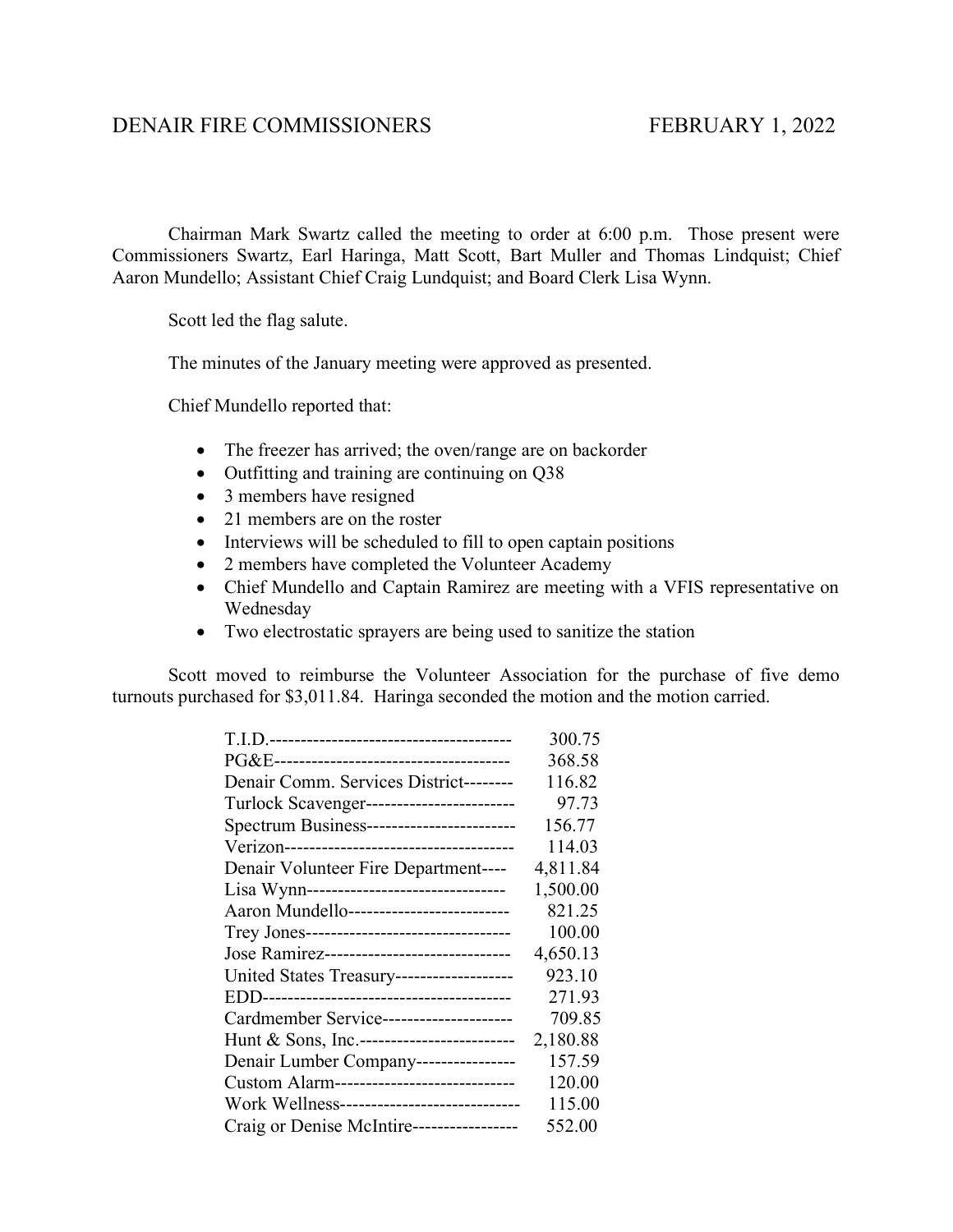## DENAIR FIRE COMMISSIONERS FEBRUARY 1, 2022

Chairman Mark Swartz called the meeting to order at 6:00 p.m. Those present were Commissioners Swartz, Earl Haringa, Matt Scott, Bart Muller and Thomas Lindquist; Chief Aaron Mundello; Assistant Chief Craig Lundquist; and Board Clerk Lisa Wynn.

Scott led the flag salute.

The minutes of the January meeting were approved as presented.

Chief Mundello reported that:

- The freezer has arrived; the oven/range are on backorder
- Outfitting and training are continuing on Q38
- 3 members have resigned
- 21 members are on the roster
- Interviews will be scheduled to fill to open captain positions
- 2 members have completed the Volunteer Academy
- Chief Mundello and Captain Ramirez are meeting with a VFIS representative on Wednesday
- Two electrostatic sprayers are being used to sanitize the station

Scott moved to reimburse the Volunteer Association for the purchase of five demo turnouts purchased for \$3,011.84. Haringa seconded the motion and the motion carried.

|                                             | 300.75   |
|---------------------------------------------|----------|
|                                             | 368.58   |
| Denair Comm. Services District--------      | 116.82   |
| Turlock Scavenger------------------------   | 97.73    |
| Spectrum Business------------------------   | 156.77   |
|                                             | 114.03   |
| Denair Volunteer Fire Department----        | 4,811.84 |
| Lisa Wynn--------------------------------   | 1,500.00 |
| Aaron Mundello-------------------------     | 821.25   |
| Trey Jones--------------------------------- | 100.00   |
| Jose Ramirez------------------------------  | 4,650.13 |
| United States Treasury-------------------   | 923.10   |
|                                             | 271.93   |
| Cardmember Service---------------------     | 709.85   |
| Hunt & Sons, Inc.-------------------------  | 2,180.88 |
| Denair Lumber Company----------------       | 157.59   |
| Custom Alarm-----------------------------   | 120.00   |
| Work Wellness-----------------------------  | 115.00   |
| Craig or Denise McIntire-----------------   | 552.00   |
|                                             |          |